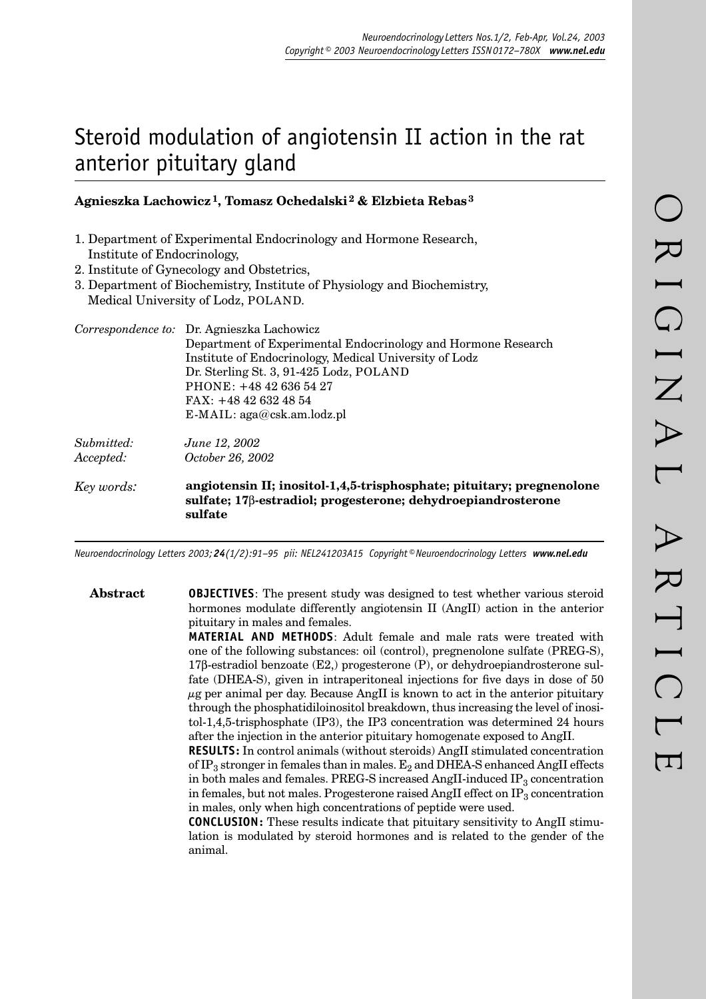# Steroid modulation of angiotensin II action in the rat anterior pituitary gland

## **Agnieszka Lachowicz 1, Tomasz Ochedalski 2 & Elzbieta Rebas 3**

- 1. Department of Experimental Endocrinology and Hormone Research, Institute of Endocrinology,
- 2. Institute of Gynecology and Obstetrics,
- 3. Department of Biochemistry, Institute of Physiology and Biochemistry, Medical University of Lodz, POLAND.

|            | Correspondence to: Dr. Agnieszka Lachowicz                                                                                                                    |
|------------|---------------------------------------------------------------------------------------------------------------------------------------------------------------|
|            | Department of Experimental Endocrinology and Hormone Research                                                                                                 |
|            | Institute of Endocrinology, Medical University of Lodz                                                                                                        |
|            | Dr. Sterling St. 3, 91-425 Lodz, POLAND                                                                                                                       |
|            | $PHONE: +48426365427$                                                                                                                                         |
|            | $FAX: +48426324854$                                                                                                                                           |
|            | $E\text{-}MAIL: \text{aga@csk am.loadz.pl}$                                                                                                                   |
| Submitted: | June 12, 2002                                                                                                                                                 |
| Accepted:  | October 26, 2002                                                                                                                                              |
| Key words: | angiotensin II; inositol-1,4,5-trisphosphate; pituitary; pregnenolone<br>sulfate; 17 <sup>8</sup> -estradiol; progesterone; dehydroepiandrosterone<br>sulfate |

*Neuroendocrinology Letters 2003; 24(1/2):91–95 pii: NEL241203A15 Copyright © Neuroendocrinology Letters www.nel.edu*

**Abstract OBJECTIVES**: The present study was designed to test whether various steroid hormones modulate differently angiotensin II (AngII) action in the anterior pituitary in males and females.

> **MATERIAL AND METHODS**: Adult female and male rats were treated with one of the following substances: oil (control), pregnenolone sulfate (PREG-S), 17β-estradiol benzoate (E2,) progesterone (P), or dehydroepiandrosterone sulfate (DHEA-S), given in intraperitoneal injections for five days in dose of 50  $\mu$ g per animal per day. Because AngII is known to act in the anterior pituitary through the phosphatidiloinositol breakdown, thus increasing the level of inositol-1,4,5-trisphosphate (IP3), the IP3 concentration was determined 24 hours after the injection in the anterior pituitary homogenate exposed to AngII.

> **RESULTS:** In control animals (without steroids) AngII stimulated concentration of IP<sub>3</sub> stronger in females than in males.  $E_2$  and DHEA-S enhanced AngII effects in both males and females. PREG-S increased AngII-induced  $IP_3$  concentration in females, but not males. Progesterone raised AngII effect on  $IP_3$  concentration in males, only when high concentrations of peptide were used.

> **CONCLUSION:** These results indicate that pituitary sensitivity to AngII stimulation is modulated by steroid hormones and is related to the gender of the animal.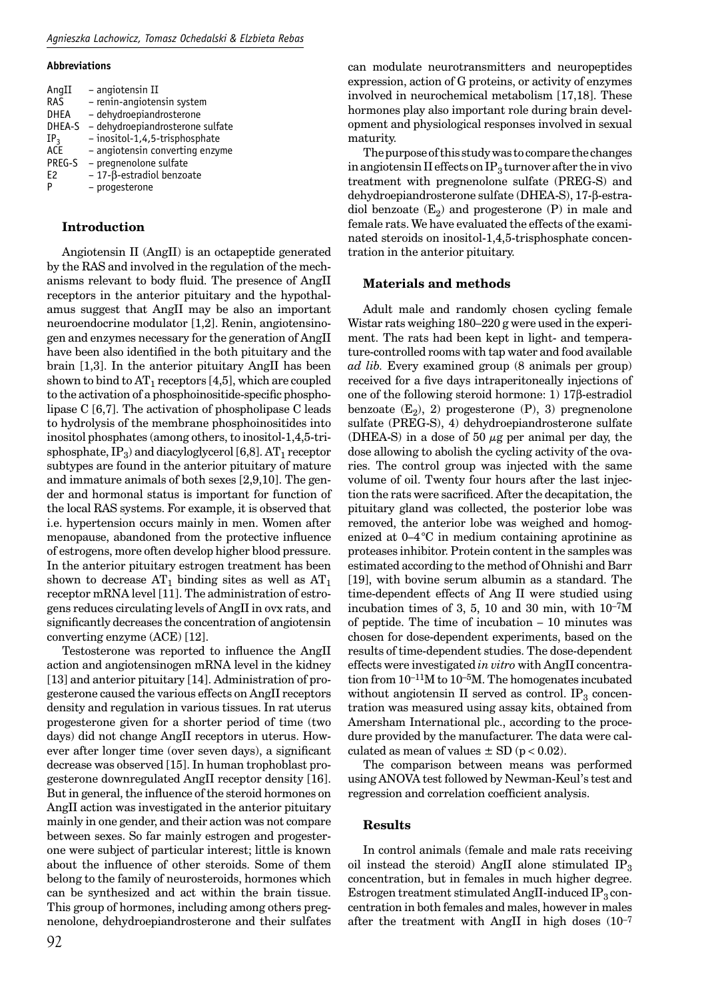#### **Abbreviations**

| AngII           | - angiotensin II                    |
|-----------------|-------------------------------------|
| RAS             | - renin-angiotensin system          |
| <b>DHEA</b>     | - dehydroepiandrosterone            |
| DHEA-S          | - dehydroepiandrosterone sulfate    |
| IP <sub>3</sub> | - inositol-1,4,5-trisphosphate      |
| ACE             | - angiotensin converting enzyme     |
| PREG-S          | - pregnenolone sulfate              |
| F <sub>2</sub>  | $-17$ - $\beta$ -estradiol benzoate |
| P               | - progesterone                      |

### **Introduction**

Angiotensin II (AngII) is an octapeptide generated by the RAS and involved in the regulation of the mechanisms relevant to body fluid. The presence of AngII receptors in the anterior pituitary and the hypothalamus suggest that AngII may be also an important neuroendocrine modulator [1,2]. Renin, angiotensinogen and enzymes necessary for the generation of AngII have been also identified in the both pituitary and the brain [1,3]. In the anterior pituitary AngII has been shown to bind to  $AT_1$  receptors [4,5], which are coupled to the activation of a phosphoinositide-specific phospholipase C [6,7]. The activation of phospholipase C leads to hydrolysis of the membrane phosphoinositides into inositol phosphates (among others, to inositol-1,4,5-trisphosphate,  $IP_3$ ) and diacyloglycerol [6,8].  $AT_1$  receptor subtypes are found in the anterior pituitary of mature and immature animals of both sexes [2,9,10]. The gender and hormonal status is important for function of the local RAS systems. For example, it is observed that i.e. hypertension occurs mainly in men. Women after menopause, abandoned from the protective influence of estrogens, more often develop higher blood pressure. In the anterior pituitary estrogen treatment has been shown to decrease  $AT_1$  binding sites as well as  $AT_1$ receptor mRNA level [11]. The administration of estrogens reduces circulating levels of AngII in ovx rats, and significantly decreases the concentration of angiotensin converting enzyme (ACE) [12].

Testosterone was reported to influence the AngII action and angiotensinogen mRNA level in the kidney [13] and anterior pituitary [14]. Administration of progesterone caused the various effects on AngII receptors density and regulation in various tissues. In rat uterus progesterone given for a shorter period of time (two days) did not change AngII receptors in uterus. However after longer time (over seven days), a significant decrease was observed [15]. In human trophoblast progesterone downregulated AngII receptor density [16]. But in general, the influence of the steroid hormones on AngII action was investigated in the anterior pituitary mainly in one gender, and their action was not compare between sexes. So far mainly estrogen and progesterone were subject of particular interest; little is known about the influence of other steroids. Some of them belong to the family of neurosteroids, hormones which can be synthesized and act within the brain tissue. This group of hormones, including among others pregnenolone, dehydroepiandrosterone and their sulfates can modulate neurotransmitters and neuropeptides expression, action of G proteins, or activity of enzymes involved in neurochemical metabolism [17,18]. These hormones play also important role during brain development and physiological responses involved in sexual maturity.

The purpose of this study was to compare the changes in angiotensin II effects on IP<sub>3</sub> turnover after the in vivo treatment with pregnenolone sulfate (PREG-S) and dehydroepiandrosterone sulfate (DHEA-S), 17-β-estradiol benzoate  $(E_2)$  and progesterone  $(P)$  in male and female rats. We have evaluated the effects of the examinated steroids on inositol-1,4,5-trisphosphate concentration in the anterior pituitary.

#### **Materials and methods**

Adult male and randomly chosen cycling female Wistar rats weighing 180–220 g were used in the experiment. The rats had been kept in light- and temperature-controlled rooms with tap water and food available *ad lib.* Every examined group (8 animals per group) received for a five days intraperitoneally injections of one of the following steroid hormone: 1) 17β-estradiol benzoate  $(E_2)$ , 2) progesterone  $(P)$ , 3) pregnenolone sulfate (PREG-S), 4) dehydroepiandrosterone sulfate (DHEA-S) in a dose of 50  $\mu$ g per animal per day, the dose allowing to abolish the cycling activity of the ovaries. The control group was injected with the same volume of oil. Twenty four hours after the last injection the rats were sacrificed. After the decapitation, the pituitary gland was collected, the posterior lobe was removed, the anterior lobe was weighed and homogenized at 0–4 °C in medium containing aprotinine as proteases inhibitor. Protein content in the samples was estimated according to the method of Ohnishi and Barr [19], with bovine serum albumin as a standard. The time-dependent effects of Ang II were studied using incubation times of 3, 5, 10 and 30 min, with  $10^{-7}M$ of peptide. The time of incubation – 10 minutes was chosen for dose-dependent experiments, based on the results of time-dependent studies. The dose-dependent effects were investigated *in vitro* with AngII concentration from 10–11M to 10–5M. The homogenates incubated without angiotensin II served as control.  $IP<sub>3</sub>$  concentration was measured using assay kits, obtained from Amersham International plc., according to the procedure provided by the manufacturer. The data were calculated as mean of values  $\pm$  SD ( $p < 0.02$ ).

The comparison between means was performed using ANOVA test followed by Newman-Keul's test and regression and correlation coefficient analysis.

#### **Results**

In control animals (female and male rats receiving oil instead the steroid) AngII alone stimulated  $IP_3$ concentration, but in females in much higher degree. Estrogen treatment stimulated AngII-induced  $IP<sub>3</sub>$  concentration in both females and males, however in males after the treatment with AngII in high doses  $(10^{-7})$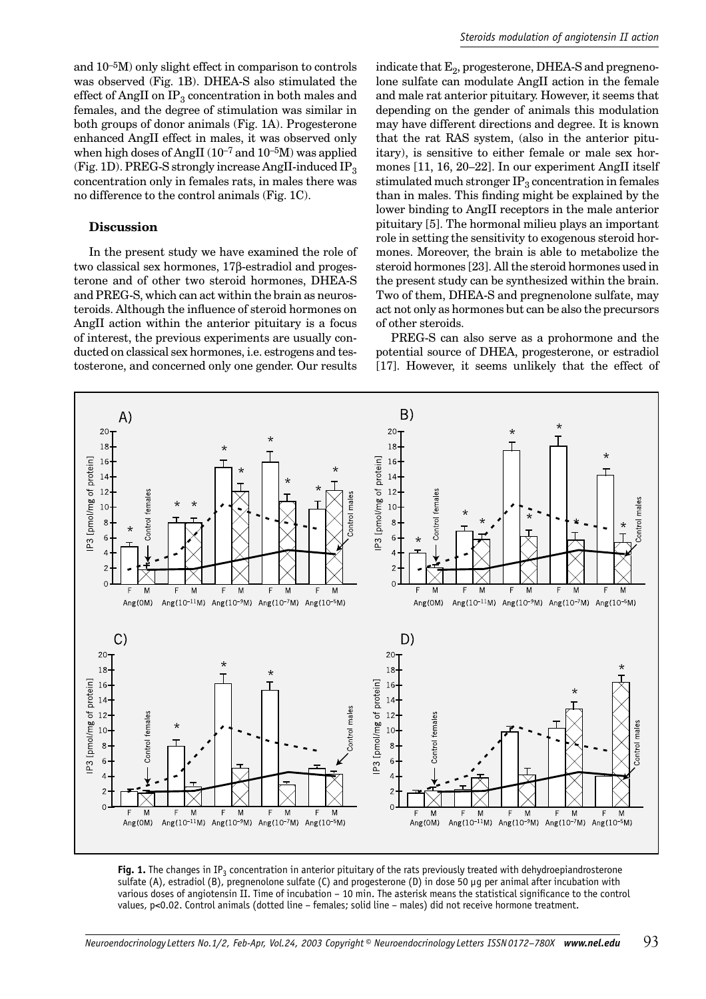and 10–5M) only slight effect in comparison to controls was observed (Fig. 1B). DHEA-S also stimulated the effect of AngII on  $IP_3$  concentration in both males and females, and the degree of stimulation was similar in both groups of donor animals (Fig. 1A). Progesterone enhanced AngII effect in males, it was observed only when high doses of AngII  $(10^{-7}$  and  $10^{-5}$ M) was applied (Fig. 1D). PREG-S strongly increase AngII-induced  $IP_3$ concentration only in females rats, in males there was no difference to the control animals (Fig. 1C).

#### **Discussion**

In the present study we have examined the role of two classical sex hormones, 17β-estradiol and progesterone and of other two steroid hormones, DHEA-S and PREG-S, which can act within the brain as neurosteroids. Although the influence of steroid hormones on AngII action within the anterior pituitary is a focus of interest, the previous experiments are usually conducted on classical sex hormones, i.e. estrogens and testosterone, and concerned only one gender. Our results

indicate that  $E_2$ , progesterone, DHEA-S and pregnenolone sulfate can modulate AngII action in the female and male rat anterior pituitary. However, it seems that depending on the gender of animals this modulation may have different directions and degree. It is known that the rat RAS system, (also in the anterior pituitary), is sensitive to either female or male sex hormones [11, 16, 20–22]. In our experiment AngII itself stimulated much stronger  $IP_3$  concentration in females than in males. This finding might be explained by the lower binding to AngII receptors in the male anterior pituitary [5]. The hormonal milieu plays an important role in setting the sensitivity to exogenous steroid hormones. Moreover, the brain is able to metabolize the steroid hormones [23]. All the steroid hormones used in the present study can be synthesized within the brain. Two of them, DHEA-S and pregnenolone sulfate, may act not only as hormones but can be also the precursors of other steroids.

PREG-S can also serve as a prohormone and the potential source of DHEA, progesterone, or estradiol [17]. However, it seems unlikely that the effect of



Fig. 1. The changes in IP<sub>3</sub> concentration in anterior pituitary of the rats previously treated with dehydroepiandrosterone sulfate (A), estradiol (B), pregnenolone sulfate (C) and progesterone (D) in dose 50 µg per animal after incubation with various doses of angiotensin II. Time of incubation – 10 min. The asterisk means the statistical significance to the control values, p<0.02. Control animals (dotted line – females; solid line – males) did not receive hormone treatment.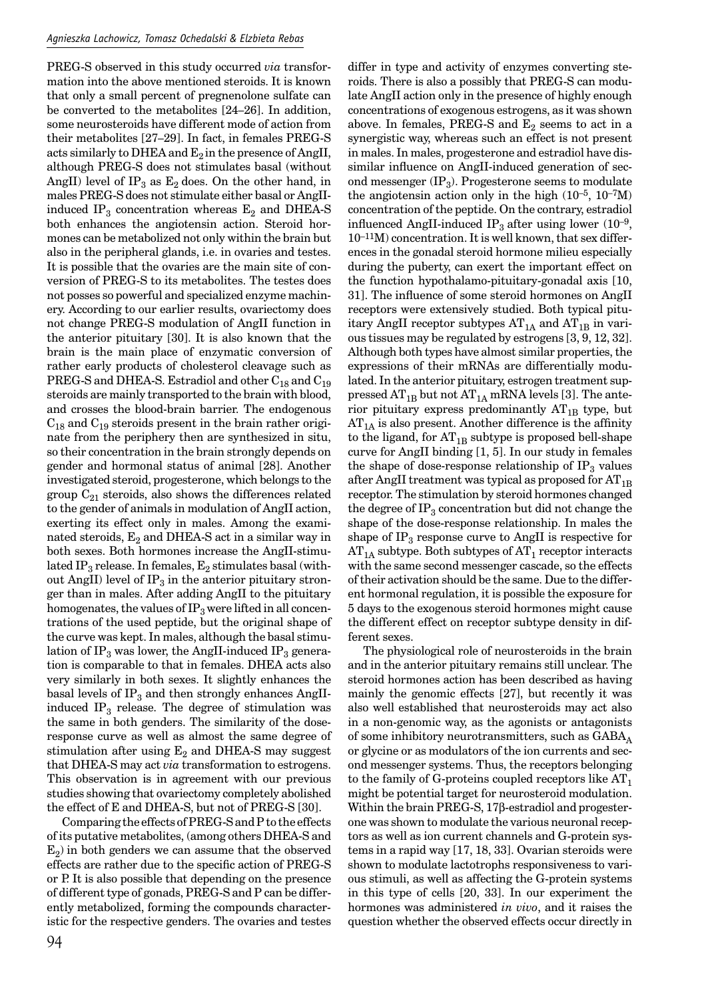PREG-S observed in this study occurred *via* transformation into the above mentioned steroids. It is known that only a small percent of pregnenolone sulfate can be converted to the metabolites [24–26]. In addition, some neurosteroids have different mode of action from their metabolites [27–29]. In fact, in females PREG-S acts similarly to DHEA and  $E_2$  in the presence of AngII, although PREG-S does not stimulates basal (without AngII) level of IP<sub>3</sub> as  $E_2$  does. On the other hand, in males PREG-S does not stimulate either basal or AngIIinduced IP<sub>3</sub> concentration whereas  $E_2$  and DHEA-S both enhances the angiotensin action. Steroid hormones can be metabolized not only within the brain but also in the peripheral glands, i.e. in ovaries and testes. It is possible that the ovaries are the main site of conversion of PREG-S to its metabolites. The testes does not posses so powerful and specialized enzyme machinery. According to our earlier results, ovariectomy does not change PREG-S modulation of AngII function in the anterior pituitary [30]. It is also known that the brain is the main place of enzymatic conversion of rather early products of cholesterol cleavage such as PREG-S and DHEA-S. Estradiol and other  $C_{18}$  and  $C_{19}$ steroids are mainly transported to the brain with blood, and crosses the blood-brain barrier. The endogenous  $C_{18}$  and  $C_{19}$  steroids present in the brain rather originate from the periphery then are synthesized in situ, so their concentration in the brain strongly depends on gender and hormonal status of animal [28]. Another investigated steroid, progesterone, which belongs to the group  $C_{21}$  steroids, also shows the differences related to the gender of animals in modulation of AngII action, exerting its effect only in males. Among the examinated steroids,  $E_2$  and DHEA-S act in a similar way in both sexes. Both hormones increase the AngII-stimulated IP<sub>3</sub> release. In females,  $E_2$  stimulates basal (without AngII) level of  $IP_3$  in the anterior pituitary stronger than in males. After adding AngII to the pituitary homogenates, the values of  $IP_3$  were lifted in all concentrations of the used peptide, but the original shape of the curve was kept. In males, although the basal stimulation of  $IP_3$  was lower, the AngII-induced  $IP_3$  generation is comparable to that in females. DHEA acts also very similarly in both sexes. It slightly enhances the basal levels of  $IP_3$  and then strongly enhances AngIIinduced  $IP_3$  release. The degree of stimulation was the same in both genders. The similarity of the doseresponse curve as well as almost the same degree of stimulation after using  $E_2$  and DHEA-S may suggest that DHEA-S may act *via* transformation to estrogens. This observation is in agreement with our previous studies showing that ovariectomy completely abolished the effect of E and DHEA-S, but not of PREG-S [30].

Comparing the effects of PREG-S and P to the effects of its putative metabolites, (among others DHEA-S and  $E<sub>2</sub>$ ) in both genders we can assume that the observed effects are rather due to the specific action of PREG-S or P. It is also possible that depending on the presence of different type of gonads, PREG-S and P can be differently metabolized, forming the compounds characteristic for the respective genders. The ovaries and testes

94

differ in type and activity of enzymes converting steroids. There is also a possibly that PREG-S can modulate AngII action only in the presence of highly enough concentrations of exogenous estrogens, as it was shown above. In females, PREG-S and  $E_2$  seems to act in a synergistic way, whereas such an effect is not present in males. In males, progesterone and estradiol have dissimilar influence on AngII-induced generation of second messenger  $(\text{IP}_3)$ . Progesterone seems to modulate the angiotensin action only in the high  $(10^{-5}, 10^{-7}M)$ concentration of the peptide. On the contrary, estradiol influenced AngII-induced IP<sub>3</sub> after using lower (10<sup>-9</sup>, 10–11M) concentration. It is well known, that sex differences in the gonadal steroid hormone milieu especially during the puberty, can exert the important effect on the function hypothalamo-pituitary-gonadal axis [10, 31]. The influence of some steroid hormones on AngII receptors were extensively studied. Both typical pituitary AngII receptor subtypes  $AT_{1A}$  and  $AT_{1B}$  in various tissues may be regulated by estrogens [3, 9, 12, 32]. Although both types have almost similar properties, the expressions of their mRNAs are differentially modulated. In the anterior pituitary, estrogen treatment suppressed  $AT_{1B}$  but not  $AT_{1A}$  mRNA levels [3]. The anterior pituitary express predominantly  $AT_{1B}$  type, but  $AT_{1A}$  is also present. Another difference is the affinity to the ligand, for  $AT_{1B}$  subtype is proposed bell-shape curve for AngII binding [1, 5]. In our study in females the shape of dose-response relationship of  $IP_3$  values after AngII treatment was typical as proposed for  $AT_{1B}$ receptor. The stimulation by steroid hormones changed the degree of  $IP_3$  concentration but did not change the shape of the dose-response relationship. In males the shape of  $IP_3$  response curve to AngII is respective for  $AT_{1A}$  subtype. Both subtypes of  $AT_1$  receptor interacts with the same second messenger cascade, so the effects of their activation should be the same. Due to the different hormonal regulation, it is possible the exposure for 5 days to the exogenous steroid hormones might cause the different effect on receptor subtype density in different sexes.

The physiological role of neurosteroids in the brain and in the anterior pituitary remains still unclear. The steroid hormones action has been described as having mainly the genomic effects [27], but recently it was also well established that neurosteroids may act also in a non-genomic way, as the agonists or antagonists of some inhibitory neurotransmitters, such as  $GABA_A$ or glycine or as modulators of the ion currents and second messenger systems. Thus, the receptors belonging to the family of G-proteins coupled receptors like  $AT_1$ might be potential target for neurosteroid modulation. Within the brain PREG-S, 17β-estradiol and progesterone was shown to modulate the various neuronal receptors as well as ion current channels and G-protein systems in a rapid way [17, 18, 33]. Ovarian steroids were shown to modulate lactotrophs responsiveness to various stimuli, as well as affecting the G-protein systems in this type of cells [20, 33]. In our experiment the hormones was administered *in vivo*, and it raises the question whether the observed effects occur directly in